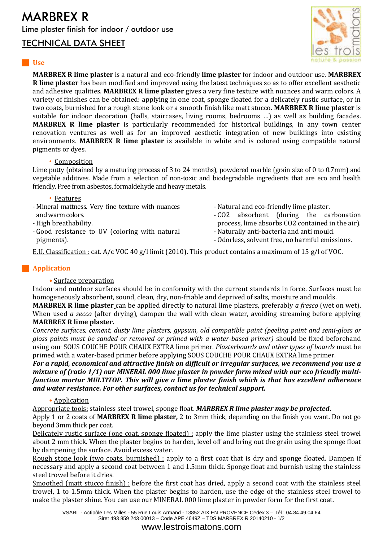## MARBREX R Lime plaster finish for indoor / outdoor use

# TECHNICAL DATA SHEET



### **Use**

**MARBREX R lime plaster** is a natural and eco-friendly **lime plaster** for indoor and outdoor use. **MARBREX R lime plaster** has been modified and improved using the latest techniques so as to offer excellent aesthetic and adhesive qualities. **MARBREX R lime plaster** gives a very fine texture with nuances and warm colors. A variety of finishes can be obtained: applying in one coat, sponge floated for a delicately rustic surface, or in two coats, burnished for a rough stone look or a smooth finish like matt stucco. **MARBREX R lime plaster** is suitable for indoor decoration (halls, staircases, living rooms, bedrooms …) as well as building facades. **MARBREX R lime plaster** is particularly recommended for historical buildings, in any town center renovation ventures as well as for an improved aesthetic integration of new buildings into existing environments. **MARBREX R lime plaster** is available in white and is colored using compatible natural pigments or dyes.

### • Composition

Lime putty (obtained by a maturing process of 3 to 24 months), powdered marble (grain size of 0 to 0.7mm) and vegetable additives. Made from a selection of non-toxic and biodegradable ingredients that are eco and health friendly. Free from asbestos, formaldehyde and heavy metals.

- Features
- Mineral mattness. Very fine texture with nuances and warm colors.
- High breathability.
- Good resistance to UV (coloring with natural pigments).
- Natural and eco-friendly lime plaster.
- CO2 absorbent (during the carbonation process, lime absorbs CO2 contained in the air). - Naturally anti-bacteria and anti mould.
- 
- Odorless, solvent free, no harmful emissions.

E.U. Classification : cat. A/c VOC 40 g/l limit (2010). This product contains a maximum of 15 g/l of VOC.

### **Application**

### **•** Surface preparation

Indoor and outdoor surfaces should be in conformity with the current standards in force. Surfaces must be homogeneously absorbent, sound, clean, dry, non-friable and deprived of salts, moisture and moulds.

**MARBREX R lime plaster** can be applied directly to natural lime plasters, preferably *a fresco* (wet on wet). When used *a secco* (after drying), dampen the wall with clean water, avoiding streaming before applying **MARBREX R lime plaster.**

*Concrete surfaces, cement, dusty lime plasters, gypsum, old compatible paint (peeling paint and semi-gloss or gloss paints must be sanded or removed or primed with a water-based primer)* should be fixed beforehand using our SOUS COUCHE POUR CHAUX EXTRA lime primer. *Plasterboards and other types of boards* must be primed with a water-based primer before applying SOUS COUCHE POUR CHAUX EXTRA lime primer.

*For a rapid, economical and attractive finish on difficult or irregular surfaces, we recommend you use a mixture of (ratio 1/1) our MINERAL 000 lime plaster in powder form mixed with our eco friendly multifunction mortar MULTITOP. This will give a lime plaster finish which is that has excellent adherence and water resistance. For other surfaces, contact us for technical support.*

### • Application

Appropriate tools: stainless steel trowel, sponge float. *MARBREX R lime plaster may be projected***.**

Apply 1 or 2 coats of **MARBREX R lime plaster,** 2 to 3mm thick, depending on the finish you want. Do not go beyond 3mm thick per coat.

Delicately rustic surface (one coat, sponge floated) : apply the lime plaster using the stainless steel trowel about 2 mm thick. When the plaster begins to harden, level off and bring out the grain using the sponge float by dampening the surface. Avoid excess water.

Rough stone look (two coats, burnished) : apply to a first coat that is dry and sponge floated. Dampen if necessary and apply a second coat between 1 and 1.5mm thick. Sponge float and burnish using the stainless steel trowel before it dries.

Smoothed (matt stucco finish) : before the first coat has dried, apply a second coat with the stainless steel trowel, 1 to 1.5mm thick. When the plaster begins to harden, use the edge of the stainless steel trowel to make the plaster shine. You can use our MINERAL 000 lime plaster in powder form for the first coat.